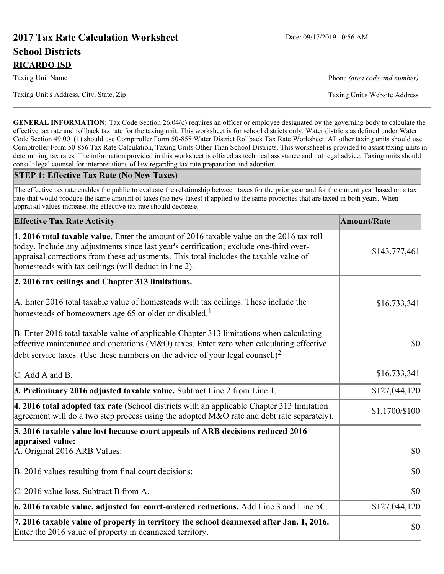# **2017 Tax Rate Calculation Worksheet** Date: 09/17/2019 10:56 AM **School Districts RICARDO ISD**

Taxing Unit's Address, City, State, Zip Taxing Unit's Website Address

Taxing Unit Name **Phone** *(area code and number)* Phone *(area code and number)* 

**GENERAL INFORMATION:** Tax Code Section 26.04(c) requires an officer or employee designated by the governing body to calculate the effective tax rate and rollback tax rate for the taxing unit. This worksheet is for school districts only. Water districts as defined under Water Code Section 49.001(1) should use Comptroller Form 50-858 Water District Rollback Tax Rate Worksheet. All other taxing units should use Comptroller Form 50-856 Tax Rate Calculation, Taxing Units Other Than School Districts. This worksheet is provided to assist taxing units in determining tax rates. The information provided in this worksheet is offered as technical assistance and not legal advice. Taxing units should consult legal counsel for interpretations of law regarding tax rate preparation and adoption.

#### **STEP 1: Effective Tax Rate (No New Taxes)**

The effective tax rate enables the public to evaluate the relationship between taxes for the prior year and for the current year based on a tax rate that would produce the same amount of taxes (no new taxes) if applied to the same properties that are taxed in both years. When appraisal values increase, the effective tax rate should decrease.

| <b>Effective Tax Rate Activity</b>                                                                                                                                                                                                                                                                                                     | <b>Amount/Rate</b> |
|----------------------------------------------------------------------------------------------------------------------------------------------------------------------------------------------------------------------------------------------------------------------------------------------------------------------------------------|--------------------|
| 1. 2016 total taxable value. Enter the amount of 2016 taxable value on the 2016 tax roll<br>today. Include any adjustments since last year's certification; exclude one-third over-<br>appraisal corrections from these adjustments. This total includes the taxable value of<br>homesteads with tax ceilings (will deduct in line 2). | \$143,777,461      |
| 2. 2016 tax ceilings and Chapter 313 limitations.                                                                                                                                                                                                                                                                                      |                    |
| A. Enter 2016 total taxable value of homesteads with tax ceilings. These include the<br>homesteads of homeowners age 65 or older or disabled. <sup>1</sup>                                                                                                                                                                             | \$16,733,341       |
| B. Enter 2016 total taxable value of applicable Chapter 313 limitations when calculating<br>effective maintenance and operations ( $M&O$ ) taxes. Enter zero when calculating effective<br>debt service taxes. (Use these numbers on the advice of your legal counsel.) <sup>2</sup>                                                   | $ 10\rangle$       |
| $\mathcal{C}$ . Add A and B.                                                                                                                                                                                                                                                                                                           | \$16,733,341       |
| 3. Preliminary 2016 adjusted taxable value. Subtract Line 2 from Line 1.                                                                                                                                                                                                                                                               | \$127,044,120      |
| 4. 2016 total adopted tax rate (School districts with an applicable Chapter 313 limitation<br>agreement will do a two step process using the adopted M&O rate and debt rate separately).                                                                                                                                               | \$1.1700/\$100     |
| 5. 2016 taxable value lost because court appeals of ARB decisions reduced 2016                                                                                                                                                                                                                                                         |                    |
| appraised value:<br>A. Original 2016 ARB Values:                                                                                                                                                                                                                                                                                       | $ 10\rangle$       |
| B. 2016 values resulting from final court decisions:                                                                                                                                                                                                                                                                                   | \$0                |
| C. 2016 value loss. Subtract B from A.                                                                                                                                                                                                                                                                                                 | 30                 |
| 6. 2016 taxable value, adjusted for court-ordered reductions. Add Line 3 and Line 5C.                                                                                                                                                                                                                                                  | \$127,044,120      |
| 7. 2016 taxable value of property in territory the school deannexed after Jan. 1, 2016.<br>Enter the 2016 value of property in deannexed territory.                                                                                                                                                                                    | \$0                |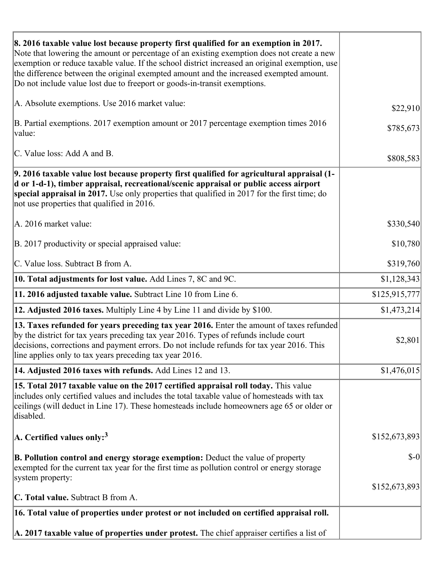| 8. 2016 taxable value lost because property first qualified for an exemption in 2017.<br>Note that lowering the amount or percentage of an existing exemption does not create a new<br>exemption or reduce taxable value. If the school district increased an original exemption, use<br>the difference between the original exempted amount and the increased exempted amount.<br>Do not include value lost due to freeport or goods-in-transit exemptions. |               |
|--------------------------------------------------------------------------------------------------------------------------------------------------------------------------------------------------------------------------------------------------------------------------------------------------------------------------------------------------------------------------------------------------------------------------------------------------------------|---------------|
| A. Absolute exemptions. Use 2016 market value:                                                                                                                                                                                                                                                                                                                                                                                                               | \$22,910      |
| B. Partial exemptions. 2017 exemption amount or 2017 percentage exemption times 2016<br>value:                                                                                                                                                                                                                                                                                                                                                               | \$785,673     |
| C. Value loss: Add A and B.                                                                                                                                                                                                                                                                                                                                                                                                                                  | \$808,583     |
| 9. 2016 taxable value lost because property first qualified for agricultural appraisal (1-<br>d or 1-d-1), timber appraisal, recreational/scenic appraisal or public access airport<br>special appraisal in 2017. Use only properties that qualified in 2017 for the first time; do<br>not use properties that qualified in 2016.                                                                                                                            |               |
| A. 2016 market value:                                                                                                                                                                                                                                                                                                                                                                                                                                        | \$330,540     |
| B. 2017 productivity or special appraised value:                                                                                                                                                                                                                                                                                                                                                                                                             | \$10,780      |
| C. Value loss. Subtract B from A.                                                                                                                                                                                                                                                                                                                                                                                                                            | \$319,760     |
| 10. Total adjustments for lost value. Add Lines 7, 8C and 9C.                                                                                                                                                                                                                                                                                                                                                                                                | \$1,128,343   |
| 11. 2016 adjusted taxable value. Subtract Line 10 from Line 6.                                                                                                                                                                                                                                                                                                                                                                                               | \$125,915,777 |
| <b>12. Adjusted 2016 taxes.</b> Multiply Line 4 by Line 11 and divide by \$100.                                                                                                                                                                                                                                                                                                                                                                              | \$1,473,214   |
| [13. Taxes refunded for years preceding tax year 2016. Enter the amount of taxes refunded]<br>by the district for tax years preceding tax year 2016. Types of refunds include court<br>decisions, corrections and payment errors. Do not include refunds for tax year 2016. This<br>line applies only to tax years preceding tax year 2016.                                                                                                                  | \$2,801       |
| 14. Adjusted 2016 taxes with refunds. Add Lines 12 and 13.                                                                                                                                                                                                                                                                                                                                                                                                   | \$1,476,015   |
| 15. Total 2017 taxable value on the 2017 certified appraisal roll today. This value<br>includes only certified values and includes the total taxable value of homesteads with tax<br>ceilings (will deduct in Line 17). These homesteads include homeowners age 65 or older or<br>disabled.                                                                                                                                                                  |               |
| A. Certified values only: <sup>3</sup>                                                                                                                                                                                                                                                                                                                                                                                                                       | \$152,673,893 |
| <b>B. Pollution control and energy storage exemption:</b> Deduct the value of property<br>exempted for the current tax year for the first time as pollution control or energy storage<br>system property:                                                                                                                                                                                                                                                    | $\delta$ -0   |
| <b>C. Total value.</b> Subtract B from A.                                                                                                                                                                                                                                                                                                                                                                                                                    | \$152,673,893 |
|                                                                                                                                                                                                                                                                                                                                                                                                                                                              |               |
| 16. Total value of properties under protest or not included on certified appraisal roll.                                                                                                                                                                                                                                                                                                                                                                     |               |
| A. 2017 taxable value of properties under protest. The chief appraiser certifies a list of                                                                                                                                                                                                                                                                                                                                                                   |               |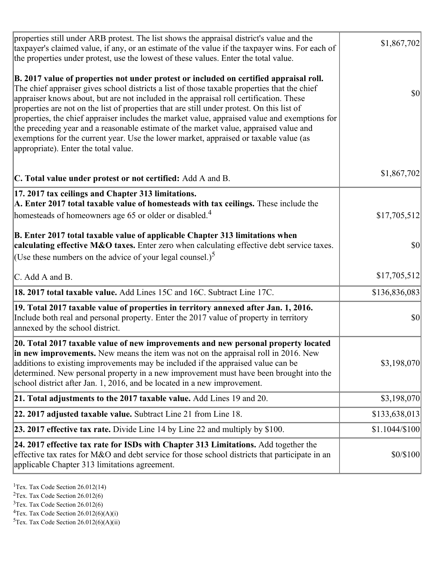| properties still under ARB protest. The list shows the appraisal district's value and the<br>taxpayer's claimed value, if any, or an estimate of the value if the taxpayer wins. For each of<br>the properties under protest, use the lowest of these values. Enter the total value.                                                                                                                                                                                                                                                                                                                                                                                                                      | \$1,867,702     |
|-----------------------------------------------------------------------------------------------------------------------------------------------------------------------------------------------------------------------------------------------------------------------------------------------------------------------------------------------------------------------------------------------------------------------------------------------------------------------------------------------------------------------------------------------------------------------------------------------------------------------------------------------------------------------------------------------------------|-----------------|
| B. 2017 value of properties not under protest or included on certified appraisal roll.<br>The chief appraiser gives school districts a list of those taxable properties that the chief<br>appraiser knows about, but are not included in the appraisal roll certification. These<br>properties are not on the list of properties that are still under protest. On this list of<br>properties, the chief appraiser includes the market value, appraised value and exemptions for<br>the preceding year and a reasonable estimate of the market value, appraised value and<br>exemptions for the current year. Use the lower market, appraised or taxable value (as<br>appropriate). Enter the total value. | <b>\$0</b>      |
| C. Total value under protest or not certified: Add A and B.                                                                                                                                                                                                                                                                                                                                                                                                                                                                                                                                                                                                                                               | \$1,867,702     |
| 17. 2017 tax ceilings and Chapter 313 limitations.<br>A. Enter 2017 total taxable value of homesteads with tax ceilings. These include the<br>homesteads of homeowners age 65 or older or disabled. <sup>4</sup>                                                                                                                                                                                                                                                                                                                                                                                                                                                                                          | \$17,705,512    |
| B. Enter 2017 total taxable value of applicable Chapter 313 limitations when<br>calculating effective M&O taxes. Enter zero when calculating effective debt service taxes.<br>(Use these numbers on the advice of your legal counsel.) <sup>5</sup>                                                                                                                                                                                                                                                                                                                                                                                                                                                       | $ 10\rangle$    |
| C. Add A and B.                                                                                                                                                                                                                                                                                                                                                                                                                                                                                                                                                                                                                                                                                           | \$17,705,512    |
| 18. 2017 total taxable value. Add Lines 15C and 16C. Subtract Line 17C.                                                                                                                                                                                                                                                                                                                                                                                                                                                                                                                                                                                                                                   | \$136,836,083   |
| 19. Total 2017 taxable value of properties in territory annexed after Jan. 1, 2016.<br>Include both real and personal property. Enter the 2017 value of property in territory<br>annexed by the school district.                                                                                                                                                                                                                                                                                                                                                                                                                                                                                          | \$0             |
| 20. Total 2017 taxable value of new improvements and new personal property located<br>in new improvements. New means the item was not on the appraisal roll in 2016. New<br>additions to existing improvements may be included if the appraised value can be<br>determined. New personal property in a new improvement must have been brought into the<br>school district after Jan. 1, 2016, and be located in a new improvement.                                                                                                                                                                                                                                                                        | \$3,198,070     |
| 21. Total adjustments to the 2017 taxable value. Add Lines 19 and 20.                                                                                                                                                                                                                                                                                                                                                                                                                                                                                                                                                                                                                                     | \$3,198,070     |
| $ 22.2017$ adjusted taxable value. Subtract Line 21 from Line 18.                                                                                                                                                                                                                                                                                                                                                                                                                                                                                                                                                                                                                                         | \$133,638,013   |
| <b>23. 2017 effective tax rate.</b> Divide Line 14 by Line 22 and multiply by $$100$ .                                                                                                                                                                                                                                                                                                                                                                                                                                                                                                                                                                                                                    | $$1.1044/\$100$ |
| 24. 2017 effective tax rate for ISDs with Chapter 313 Limitations. Add together the<br>effective tax rates for M&O and debt service for those school districts that participate in an<br>applicable Chapter 313 limitations agreement.                                                                                                                                                                                                                                                                                                                                                                                                                                                                    | \$0/\$100       |

<sup>&</sup>lt;sup>1</sup>Tex. Tax Code Section  $26.012(14)$ 

 $3$ Tex. Tax Code Section 26.012(6)

 ${}^{4}$ Tex. Tax Code Section 26.012(6)(A)(i)

 ${}^{5}$ Tex. Tax Code Section 26.012(6)(A)(ii)

<sup>&</sup>lt;sup>2</sup>Tex. Tax Code Section 26.012(6)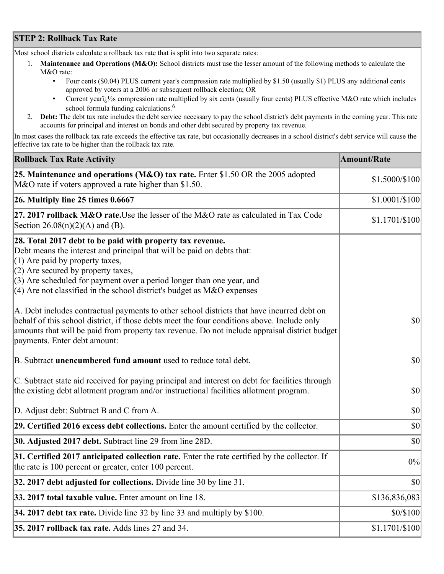## **STEP 2: Rollback Tax Rate**

Most school districts calculate a rollback tax rate that is split into two separate rates:

- 1. **Maintenance and Operations (M&O):** School districts must use the lesser amount of the following methods to calculate the M&O rate:
	- Four cents (\$0.04) PLUS current year's compression rate multiplied by \$1.50 (usually \$1) PLUS any additional cents approved by voters at a 2006 or subsequent rollback election; OR
	- Current year $i/\frac{1}{2}$ s compression rate multiplied by six cents (usually four cents) PLUS effective M&O rate which includes school formula funding calculations.<sup>6</sup>
- 2. **Debt:** The debt tax rate includes the debt service necessary to pay the school district's debt payments in the coming year. This rate accounts for principal and interest on bonds and other debt secured by property tax revenue.

In most cases the rollback tax rate exceeds the effective tax rate, but occasionally decreases in a school district's debt service will cause the effective tax rate to be higher than the rollback tax rate.

| <b>Rollback Tax Rate Activity</b>                                                                                                                                                                                                                                                                                                                                       | <b>Amount/Rate</b> |
|-------------------------------------------------------------------------------------------------------------------------------------------------------------------------------------------------------------------------------------------------------------------------------------------------------------------------------------------------------------------------|--------------------|
| 25. Maintenance and operations (M&O) tax rate. Enter \$1.50 OR the 2005 adopted<br>M&O rate if voters approved a rate higher than \$1.50.                                                                                                                                                                                                                               | \$1.5000/\$100     |
| $26.$ Multiply line 25 times $0.6667$                                                                                                                                                                                                                                                                                                                                   | $$1.0001/\$100$    |
| 27. 2017 rollback M&O rate. Use the lesser of the M&O rate as calculated in Tax Code<br>Section 26.08(n)(2)(A) and (B).                                                                                                                                                                                                                                                 | \$1.1701/\$100     |
| 28. Total 2017 debt to be paid with property tax revenue.<br>Debt means the interest and principal that will be paid on debts that:<br>$(1)$ Are paid by property taxes,<br>$(2)$ Are secured by property taxes,<br>$(3)$ Are scheduled for payment over a period longer than one year, and<br>$(4)$ Are not classified in the school district's budget as M&O expenses |                    |
| A. Debt includes contractual payments to other school districts that have incurred debt on<br>behalf of this school district, if those debts meet the four conditions above. Include only<br>amounts that will be paid from property tax revenue. Do not include appraisal district budget<br>payments. Enter debt amount:                                              | $ 10\rangle$       |
| B. Subtract unencumbered fund amount used to reduce total debt.                                                                                                                                                                                                                                                                                                         | \$0                |
| C. Subtract state aid received for paying principal and interest on debt for facilities through<br>the existing debt allotment program and/or instructional facilities allotment program.                                                                                                                                                                               | $ 10\rangle$       |
| D. Adjust debt: Subtract B and C from A.                                                                                                                                                                                                                                                                                                                                | $ 10\rangle$       |
| 29. Certified 2016 excess debt collections. Enter the amount certified by the collector.                                                                                                                                                                                                                                                                                | $ 10\rangle$       |
| <b>30. Adjusted 2017 debt.</b> Subtract line 29 from line 28D.                                                                                                                                                                                                                                                                                                          | \$0                |
| 31. Certified 2017 anticipated collection rate. Enter the rate certified by the collector. If<br>the rate is 100 percent or greater, enter 100 percent.                                                                                                                                                                                                                 | 0%                 |
| 32. 2017 debt adjusted for collections. Divide line 30 by line 31.                                                                                                                                                                                                                                                                                                      | $ 10\rangle$       |
| 33. 2017 total taxable value. Enter amount on line 18.                                                                                                                                                                                                                                                                                                                  | \$136,836,083      |
| 34. 2017 debt tax rate. Divide line 32 by line 33 and multiply by $$100$ .                                                                                                                                                                                                                                                                                              | \$0/\$100          |
| 35. 2017 rollback tax rate. Adds lines 27 and 34.                                                                                                                                                                                                                                                                                                                       | $$1.1701/\$100$    |